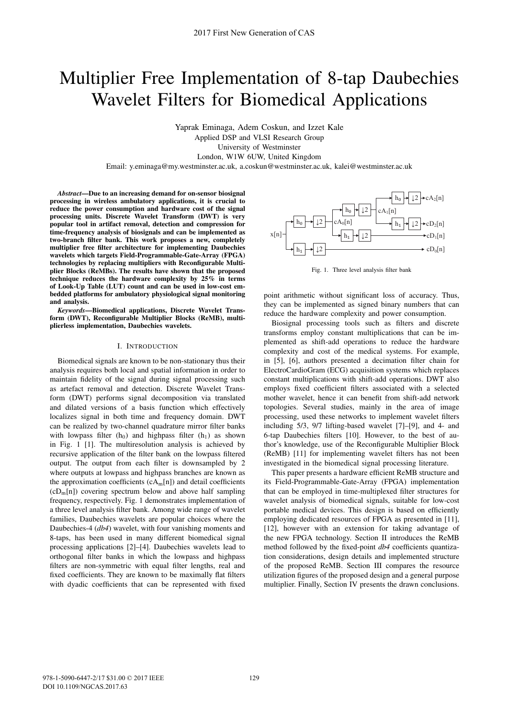# Multiplier Free Implementation of 8-tap Daubechies Wavelet Filters for Biomedical Applications

Yaprak Eminaga, Adem Coskun, and Izzet Kale Applied DSP and VLSI Research Group University of Westminster London, W1W 6UW, United Kingdom

Email: y.eminaga@my.westminster.ac.uk, a.coskun@westminster.ac.uk, kalei@westminster.ac.uk

*Abstract***—Due to an increasing demand for on-sensor biosignal processing in wireless ambulatory applications, it is crucial to reduce the power consumption and hardware cost of the signal processing units. Discrete Wavelet Transform (DWT) is very popular tool in artifact removal, detection and compression for time-frequency analysis of biosignals and can be implemented as two-branch filter bank. This work proposes a new, completely multiplier free filter architecture for implementing Daubechies wavelets which targets Field-Programmable-Gate-Array (FPGA) technologies by replacing multipliers with Reconfigurable Multiplier Blocks (ReMBs). The results have shown that the proposed technique reduces the hardware complexity by 25% in terms of Look-Up Table (LUT) count and can be used in low-cost embedded platforms for ambulatory physiological signal monitoring and analysis.**

*Keywords***—Biomedical applications, Discrete Wavelet Transform (DWT), Reconfigurable Multiplier Blocks (ReMB), multiplierless implementation, Daubechies wavelets.**

#### I. INTRODUCTION

Biomedical signals are known to be non-stationary thus their analysis requires both local and spatial information in order to maintain fidelity of the signal during signal processing such as artefact removal and detection. Discrete Wavelet Transform (DWT) performs signal decomposition via translated and dilated versions of a basis function which effectively localizes signal in both time and frequency domain. DWT can be realized by two-channel quadrature mirror filter banks with lowpass filter  $(h_0)$  and highpass filter  $(h_1)$  as shown in Fig. 1 [1]. The multiresolution analysis is achieved by recursive application of the filter bank on the lowpass filtered output. The output from each filter is downsampled by 2 where outputs at lowpass and highpass branches are known as the approximation coefficients  $(cA<sub>m</sub>[n])$  and detail coefficients  $(cD<sub>m</sub>[n])$  covering spectrum below and above half sampling frequency, respectively. Fig. 1 demonstrates implementation of a three level analysis filter bank. Among wide range of wavelet families, Daubechies wavelets are popular choices where the Daubechies-4 (*db4*) wavelet, with four vanishing moments and 8-taps, has been used in many different biomedical signal processing applications [2]–[4]. Daubechies wavelets lead to orthogonal filter banks in which the lowpass and highpass filters are non-symmetric with equal filter lengths, real and fixed coefficients. They are known to be maximally flat filters with dyadic coefficients that can be represented with fixed



Fig. 1. Three level analysis filter bank

point arithmetic without significant loss of accuracy. Thus, they can be implemented as signed binary numbers that can reduce the hardware complexity and power consumption.

Biosignal processing tools such as filters and discrete transforms employ constant multiplications that can be implemented as shift-add operations to reduce the hardware complexity and cost of the medical systems. For example, in [5], [6], authors presented a decimation filter chain for ElectroCardioGram (ECG) acquisition systems which replaces constant multiplications with shift-add operations. DWT also employs fixed coefficient filters associated with a selected mother wavelet, hence it can benefit from shift-add network topologies. Several studies, mainly in the area of image processing, used these networks to implement wavelet filters including 5/3, 9/7 lifting-based wavelet [7]–[9], and 4- and 6-tap Daubechies filters [10]. However, to the best of author's knowledge, use of the Reconfigurable Multiplier Block (ReMB) [11] for implementing wavelet filters has not been investigated in the biomedical signal processing literature.

This paper presents a hardware efficient ReMB structure and its Field-Programmable-Gate-Array (FPGA) implementation that can be employed in time-multiplexed filter structures for wavelet analysis of biomedical signals, suitable for low-cost portable medical devices. This design is based on efficiently employing dedicated resources of FPGA as presented in [11], [12], however with an extension for taking advantage of the new FPGA technology. Section II introduces the ReMB method followed by the fixed-point *db4* coefficients quantization considerations, design details and implemented structure of the proposed ReMB. Section III compares the resource utilization figures of the proposed design and a general purpose multiplier. Finally, Section IV presents the drawn conclusions.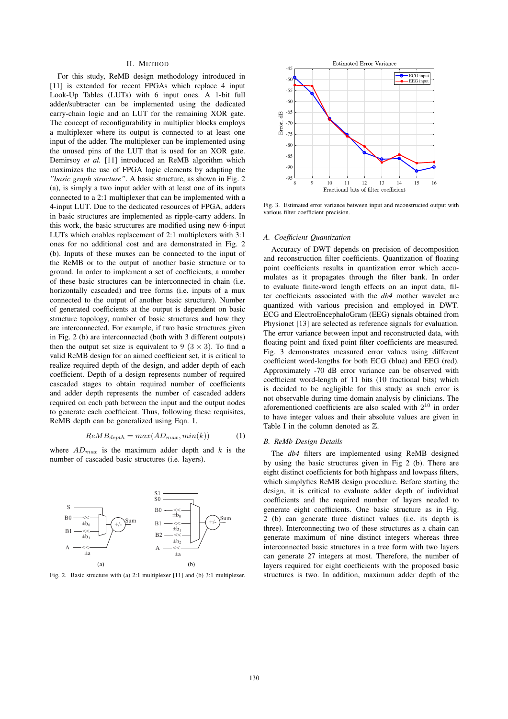#### II. METHOD

For this study, ReMB design methodology introduced in [11] is extended for recent FPGAs which replace 4 input Look-Up Tables (LUTs) with 6 input ones. A 1-bit full adder/subtracter can be implemented using the dedicated carry-chain logic and an LUT for the remaining XOR gate. The concept of reconfigurability in multiplier blocks employs a multiplexer where its output is connected to at least one input of the adder. The multiplexer can be implemented using the unused pins of the LUT that is used for an XOR gate. Demirsoy *et al.* [11] introduced an ReMB algorithm which maximizes the use of FPGA logic elements by adapting the *"basic graph structure"*. A basic structure, as shown in Fig. 2 (a), is simply a two input adder with at least one of its inputs connected to a 2:1 multiplexer that can be implemented with a 4-input LUT. Due to the dedicated resources of FPGA, adders in basic structures are implemented as ripple-carry adders. In this work, the basic structures are modified using new 6-input LUTs which enables replacement of 2:1 multiplexers with 3:1 ones for no additional cost and are demonstrated in Fig. 2 (b). Inputs of these muxes can be connected to the input of the ReMB or to the output of another basic structure or to ground. In order to implement a set of coefficients, a number of these basic structures can be interconnected in chain (i.e. horizontally cascaded) and tree forms (i.e. inputs of a mux connected to the output of another basic structure). Number of generated coefficients at the output is dependent on basic structure topology, number of basic structures and how they are interconnected. For example, if two basic structures given in Fig. 2 (b) are interconnected (both with 3 different outputs) then the output set size is equivalent to 9 ( $3 \times 3$ ). To find a valid ReMB design for an aimed coefficient set, it is critical to realize required depth of the design, and adder depth of each coefficient. Depth of a design represents number of required cascaded stages to obtain required number of coefficients and adder depth represents the number of cascaded adders required on each path between the input and the output nodes to generate each coefficient. Thus, following these requisites, ReMB depth can be generalized using Eqn. 1.

$$
ReMB_{depth} = max(AD_{max}, min(k))
$$
 (1)

where  $AD_{max}$  is the maximum adder depth and k is the number of cascaded basic structures (i.e. layers).



Fig. 2. Basic structure with (a) 2:1 multiplexer [11] and (b) 3:1 multiplexer.



Fig. 3. Estimated error variance between input and reconstructed output with various filter coefficient precision.

# *A. Coefficient Quantization*

Accuracy of DWT depends on precision of decomposition and reconstruction filter coefficients. Quantization of floating point coefficients results in quantization error which accumulates as it propagates through the filter bank. In order to evaluate finite-word length effects on an input data, filter coefficients associated with the *db4* mother wavelet are quantized with various precision and employed in DWT. ECG and ElectroEncephaloGram (EEG) signals obtained from Physionet [13] are selected as reference signals for evaluation. The error variance between input and reconstructed data, with floating point and fixed point filter coefficients are measured. Fig. 3 demonstrates measured error values using different coefficient word-lengths for both ECG (blue) and EEG (red). Approximately -70 dB error variance can be observed with coefficient word-length of 11 bits (10 fractional bits) which is decided to be negligible for this study as such error is not observable during time domain analysis by clinicians. The aforementioned coefficients are also scaled with 2<sup>10</sup> in order to have integer values and their absolute values are given in Table I in the column denoted as ℤ.

## *B. ReMb Design Details*

The *db4* filters are implemented using ReMB designed by using the basic structures given in Fig 2 (b). There are eight distinct coefficients for both highpass and lowpass filters, which simplyfies ReMB design procedure. Before starting the design, it is critical to evaluate adder depth of individual coefficients and the required number of layers needed to generate eight coefficients. One basic structure as in Fig. 2 (b) can generate three distinct values (i.e. its depth is three). Interconnecting two of these structures as a chain can generate maximum of nine distinct integers whereas three interconnected basic structures in a tree form with two layers can generate 27 integers at most. Therefore, the number of layers required for eight coefficients with the proposed basic structures is two. In addition, maximum adder depth of the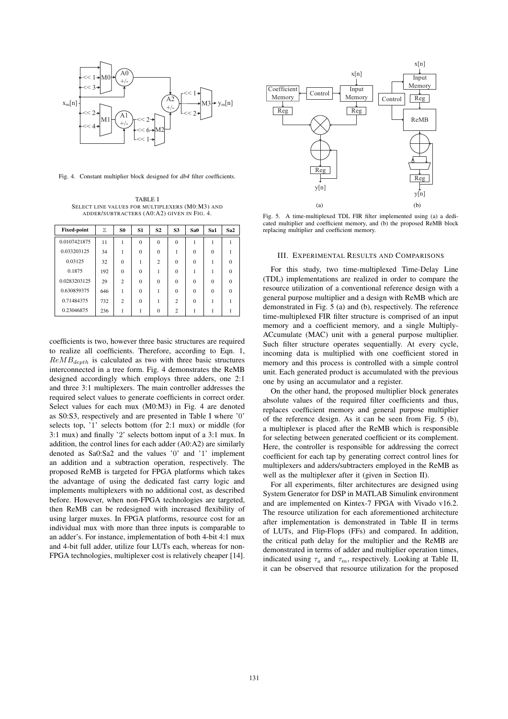

Fig. 4. Constant multiplier block designed for *db4* filter coefficients.

TABLE I SELECT LINE VALUES FOR MULTIPLEXERS (M0:M3) AND ADDER/SUBTRACTERS (A0:A2) GIVEN IN FIG. 4.

| <b>Fixed-point</b> | Z   | S <sub>0</sub> | <b>S1</b> | S <sub>2</sub> | S <sub>3</sub> | Sa <sub>0</sub> | Sa1      | Sa <sub>2</sub> |
|--------------------|-----|----------------|-----------|----------------|----------------|-----------------|----------|-----------------|
| 0.0107421875       | 11  |                | $\Omega$  | $\Omega$       | $\Omega$       |                 |          |                 |
| 0.033203125        | 34  |                | $\Omega$  | $\Omega$       |                | $\theta$        | $\Omega$ |                 |
| 0.03125            | 32  | $\Omega$       |           | $\overline{c}$ | $\Omega$       | $\Omega$        |          |                 |
| 0.1875             | 192 | $\Omega$       | $\Omega$  |                | $\Omega$       |                 |          |                 |
| 0.0283203125       | 29  | $\overline{c}$ | $\Omega$  | $\Omega$       | $\Omega$       | $\Omega$        | $\Omega$ |                 |
| 0.630859375        | 646 | 1              | $\Omega$  |                | $\Omega$       | $\Omega$        | $\Omega$ |                 |
| 0.71484375         | 732 | $\mathfrak{2}$ | $\Omega$  |                | $\overline{c}$ | $\Omega$        |          |                 |
| 0.23046875         | 236 |                |           | $\Omega$       | $\overline{c}$ |                 |          |                 |

coefficients is two, however three basic structures are required to realize all coefficients. Therefore, according to Eqn. 1,  $ReMB_{depth}$  is calculated as two with three basic structures interconnected in a tree form. Fig. 4 demonstrates the ReMB designed accordingly which employs three adders, one 2:1 and three 3:1 multiplexers. The main controller addresses the required select values to generate coefficients in correct order. Select values for each mux (M0:M3) in Fig. 4 are denoted as S0:S3, respectively and are presented in Table I where '0' selects top, '1' selects bottom (for 2:1 mux) or middle (for 3:1 mux) and finally '2' selects bottom input of a 3:1 mux. In addition, the control lines for each adder (A0:A2) are similarly denoted as Sa0:Sa2 and the values '0' and '1' implement an addition and a subtraction operation, respectively. The proposed ReMB is targeted for FPGA platforms which takes the advantage of using the dedicated fast carry logic and implements multiplexers with no additional cost, as described before. However, when non-FPGA technologies are targeted, then ReMB can be redesigned with increased flexibility of using larger muxes. In FPGA platforms, resource cost for an individual mux with more than three inputs is comparable to an adder's. For instance, implementation of both 4-bit 4:1 mux and 4-bit full adder, utilize four LUTs each, whereas for non-FPGA technologies, multiplexer cost is relatively cheaper [14].



Fig. 5. A time-multiplexed TDL FIR filter implemented using (a) a dedicated multiplier and coefficient memory, and (b) the proposed ReMB block replacing multiplier and coefficient memory.

# III. EXPERIMENTAL RESULTS AND COMPARISONS

For this study, two time-multiplexed Time-Delay Line (TDL) implementations are realized in order to compare the resource utilization of a conventional reference design with a general purpose multiplier and a design with ReMB which are demonstrated in Fig. 5 (a) and (b), respectively. The reference time-multiplexed FIR filter structure is comprised of an input memory and a coefficient memory, and a single Multiply-ACcumulate (MAC) unit with a general purpose multiplier. Such filter structure operates sequentially. At every cycle, incoming data is multiplied with one coefficient stored in memory and this process is controlled with a simple control unit. Each generated product is accumulated with the previous one by using an accumulator and a register.

On the other hand, the proposed multiplier block generates absolute values of the required filter coefficients and thus, replaces coefficient memory and general purpose multiplier of the reference design. As it can be seen from Fig. 5 (b), a multiplexer is placed after the ReMB which is responsible for selecting between generated coefficient or its complement. Here, the controller is responsible for addressing the correct coefficient for each tap by generating correct control lines for multiplexers and adders/subtracters employed in the ReMB as well as the multiplexer after it (given in Section II).

For all experiments, filter architectures are designed using System Generator for DSP in MATLAB Simulink environment and are implemented on Kintex-7 FPGA with Vivado v16.2. The resource utilization for each aforementioned architecture after implementation is demonstrated in Table II in terms of LUTs, and Flip-Flops (FFs) and compared. In addition, the critical path delay for the multiplier and the ReMB are demonstrated in terms of adder and multiplier operation times, indicated using  $\tau_a$  and  $\tau_m$ , respectively. Looking at Table II, it can be observed that resource utilization for the proposed